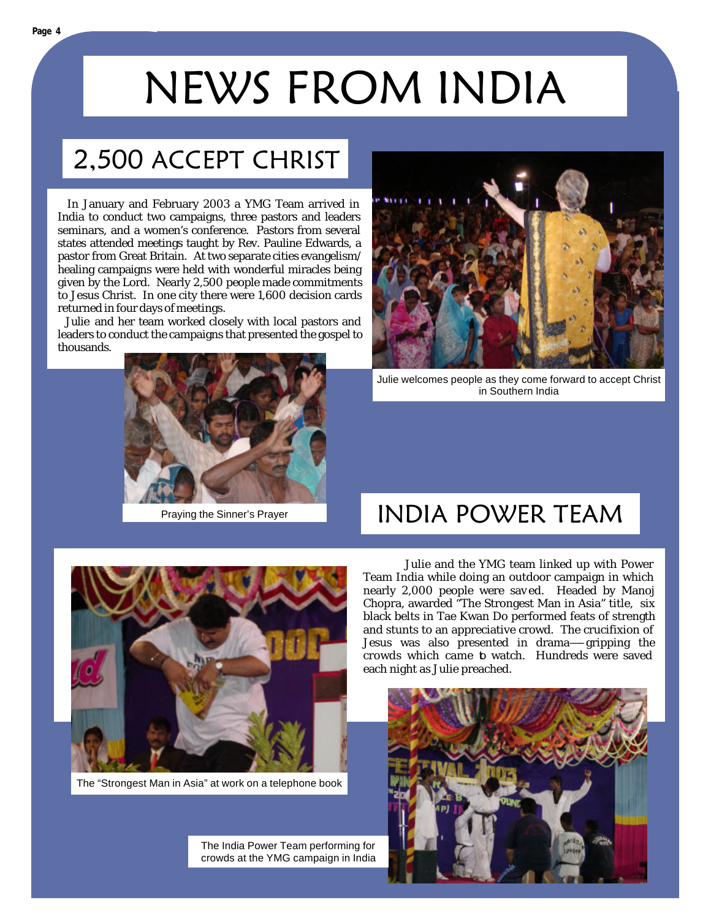# NEWS FROM INDIA

### 2,500 ACCEPT CHRIST

 In January and February 2003 a YMG Team arrived in India to conduct two campaigns, three pastors and leaders seminars, and a women's conference. Pastors from several states attended meetings taught by Rev. Pauline Edwards, a pastor from Great Britain. At two separate cities evangelism/ healing campaigns were held with wonderful miracles being given by the Lord. Nearly 2,500 people made commitments to Jesus Christ. In one city there were 1,600 decision cards returned in four days of meetings.

 Julie and her team worked closely with local pastors and leaders to conduct the campaigns that presented the gospel to thousands.



Praying the Sinner's Prayer



Julie welcomes people as they come forward to accept Christ in Southern India

#### INDIA POWER TEAM



The "Strongest Man in Asia" at work on a telephone book

The India Power Team performing for crowds at the YMG campaign in India

 Julie and the YMG team linked up with Power Team India while doing an outdoor campaign in which nearly 2,000 people were sav ed. Headed by Manoj Chopra, awarded "The Strongest Man in Asia" title, six black belts in Tae Kwan Do performed feats of strength and stunts to an appreciative crowd. The crucifixion of Jesus was also presented in drama—–gripping the crowds which came **b** watch. Hundreds were saved each night as Julie preached.